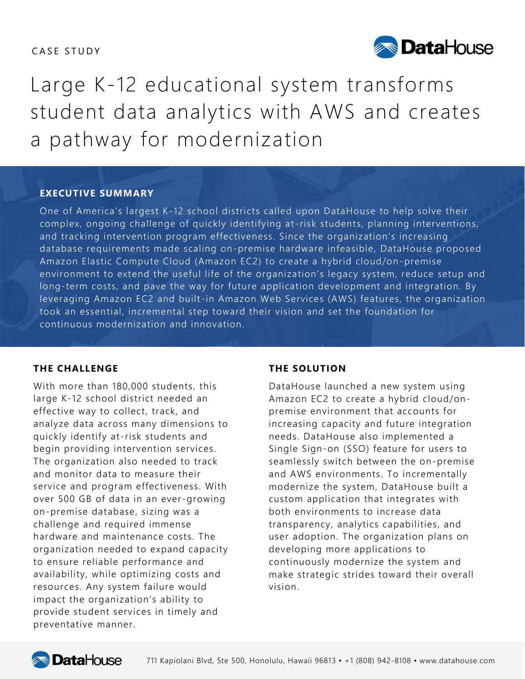# CASE STUDY



Large K-12 educational system transforms student data analytics with AWS and creates a pathway for modernization

### **EXECUTIVE SUMMARY**

One of America's largest K-12 school districts called upon DataHouse to help solve their complex, ongoing challenge of quickly identifying at-risk students, planning interventions, and tracking intervention program effectiveness. Since the organization's increasing database requirements made scaling on-premise hardware infeasible, DataHouse proposed Amazon Elastic Compute Cloud (Amazon EC2) to create a hybrid cloud/on -premise environment to extend the useful life of the organization's legacy system, reduce setup and long-term costs, and pave the way for future application development and integration. By leveraging Amazon EC2 and built-in Amazon Web Services (AWS) features, the organization took an essential, incremental step toward their vision and set the foundation for continuous modernization and innovation.

### **THE CHALLENGE**

With more than 180,000 students, this large K-12 school district needed an effective way to collect, track, and analyze data across many dimensions to quickly identify at-risk students and begin providing intervention services. The organization also needed to track and monitor data to measure their service and program effectiveness. With over 500 GB of data in an ever-growing on-premise database, sizing was a challenge and required immense hardware and maintenance costs. The organization needed to expand capacity to ensure reliable performance and availability, while optimizing costs and resources. Any system failure would impact the organization's ability to provide student services in timely and preventative manner.

### **THE SOLUTION**

DataHouse launched a new system using Amazon EC2 to create a hybrid cloud/onpremise environment that accounts for increasing capacity and future integration needs. DataHouse also implemented a Single Sign-on (SSO) feature for users to seamlessly switch between the on-premise and AWS environments. To incrementally modernize the system, DataHouse built a custom application that integrates with both environments to increase data transparency, analytics capabilities, and user adoption. The organization plans on developing more applications to continuously modernize the system and make strategic strides toward their overall vision.